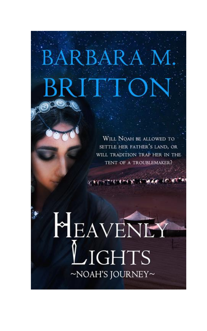# **BARBARA 1** B

WILL NOAH BE ALLOWED TO SETTLE HER FATHER'S LAND, OR WILL TRADITION TRAP HER IN THE TENT OF A TROUBLEMAKER?

## MEAVENEY **JIGHTS** ~NOAH'S JOURNEY~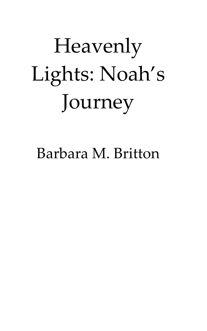## Heavenly Lights: Noah's Journey

Barbara M. Britton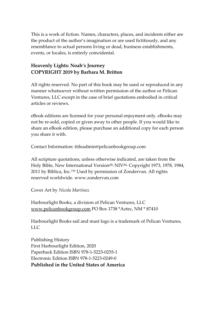This is a work of fiction. Names, characters, places, and incidents either are the product of the author's imagination or are used fictitiously, and any resemblance to actual persons living or dead, business establishments, events, or locales, is entirely coincidental.

#### **Heavenly Lights: Noah's Journey COPYRIGHT 2019 by Barbara M. Britton**

All rights reserved. No part of this book may be used or reproduced in any manner whatsoever without written permission of the author or Pelican Ventures, LLC except in the case of brief quotations embodied in critical articles or reviews.

eBook editions are licensed for your personal enjoyment only. eBooks may not be re-sold, copied or given away to other people. If you would like to share an eBook edition, please purchase an additional copy for each person you share it with.

Contact Information: titleadmin@pelicanbookgroup.com

All scripture quotations, unless otherwise indicated, are taken from the Holy Bible, New International Version<sup>(R),</sup> NIV<sup>(R),</sup> Copyright 1973, 1978, 1984, 2011 by Biblica, Inc.<sup>™</sup> Used by permission of Zondervan. All rights reserved worldwide. www.zondervan.com

Cover Art by *Nicola Martinez*

Harbourlight Books, a division of Pelican Ventures, LLC [www.pelicanbookgroup.com](http://www.pelicanbookgroup.com/) PO Box 1738 \*Aztec, NM \* 87410

Harbourlight Books sail and mast logo is a trademark of Pelican Ventures, LLC

Publishing History First Harbourlight Edition, 2020 Paperback Edition ISBN 978-1-5223-0255-1 Electronic Edition ISBN 978-1-5223-0249-0 **Published in the United States of America**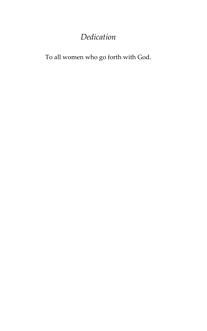#### *Dedication*

To all women who go forth with God.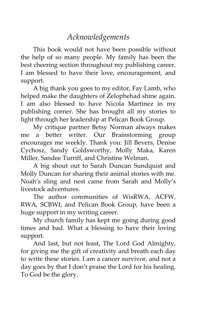#### *Acknowledgements*

This book would not have been possible without the help of so many people. My family has been the best cheering section throughout my publishing career. I am blessed to have their love, encouragement, and support.

A big thank you goes to my editor, Fay Lamb, who helped make the daughters of Zelophehad shine again. I am also blessed to have Nicola Martinez in my publishing corner. She has brought all my stories to light through her leadership at Pelican Book Group.

My critique partner Betsy Norman always makes me a better writer. Our Brainstorming group encourages me weekly. Thank you: Jill Bevers, Denise Cychosz, Sandy Goldsworthy, Molly Maka, Karen Miller, Sandee Turriff, and Christine Welman.

A big shout out to Sarah Duncan Sundquist and Molly Duncan for sharing their animal stories with me. Noah's sling and nest came from Sarah and Molly's livestock adventures.

The author communities of WisRWA, ACFW, RWA, SCBWI, and Pelican Book Group, have been a huge support in my writing career.

My church family has kept me going during good times and bad. What a blessing to have their loving support.

And last, but not least, The Lord God Almighty, for giving me the gift of creativity and breath each day to write these stories. I am a cancer survivor, and not a day goes by that I don't praise the Lord for his healing. To God be the glory.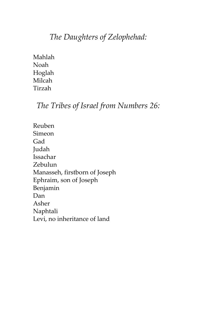#### *The Daughters of Zelophehad:*

Mahlah Noah Hoglah Milcah Tirzah

#### *The Tribes of Israel from Numbers 26:*

Reuben Simeon Gad Judah Issachar Zebulun Manasseh, firstborn of Joseph Ephraim, son of Joseph Benjamin Dan Asher Naphtali Levi, no inheritance of land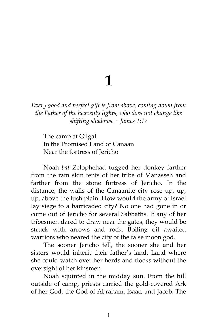## **1**

*Every good and perfect gift is from above, coming down from the Father of the heavenly lights, who does not change like shifting shadows. ~ James 1:17*

The camp at Gilgal In the Promised Land of Canaan Near the fortress of Jericho

Noah *bat* Zelophehad tugged her donkey farther from the ram skin tents of her tribe of Manasseh and farther from the stone fortress of Jericho. In the distance, the walls of the Canaanite city rose up, up, up, above the lush plain. How would the army of Israel lay siege to a barricaded city? No one had gone in or come out of Jericho for several Sabbaths. If any of her tribesmen dared to draw near the gates, they would be struck with arrows and rock. Boiling oil awaited warriors who neared the city of the false moon god.

The sooner Jericho fell, the sooner she and her sisters would inherit their father's land. Land where she could watch over her herds and flocks without the oversight of her kinsmen.

Noah squinted in the midday sun. From the hill outside of camp, priests carried the gold-covered Ark of her God, the God of Abraham, Isaac, and Jacob. The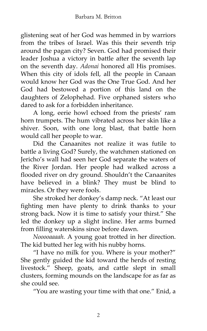glistening seat of her God was hemmed in by warriors from the tribes of Israel. Was this their seventh trip around the pagan city? Seven. God had promised their leader Joshua a victory in battle after the seventh lap on the seventh day. *Adonai* honored all His promises. When this city of idols fell, all the people in Canaan would know her God was the One True God. And her God had bestowed a portion of this land on the daughters of Zelophehad. Five orphaned sisters who dared to ask for a forbidden inheritance.

A long, eerie howl echoed from the priests' ram horn trumpets. The hum vibrated across her skin like a shiver. Soon, with one long blast, that battle horn would call her people to war.

Did the Canaanites not realize it was futile to battle a living God? Surely, the watchmen stationed on Jericho's wall had seen her God separate the waters of the River Jordan. Her people had walked across a flooded river on dry ground. Shouldn't the Canaanites have believed in a blink? They must be blind to miracles. Or they were fools.

She stroked her donkey's damp neck. 'At least our fighting men have plenty to drink thanks to your strong back. Now it is time to satisfy your thirst.' She led the donkey up a slight incline. Her arms burned from filling waterskins since before dawn.

*Nooooaaaah.* A young goat trotted in her direction. The kid butted her leg with his nubby horns.

'I have no milk for you. Where is your mother?' She gently guided the kid toward the herds of resting livestock.' Sheep, goats, and cattle slept in small clusters, forming mounds on the landscape for as far as she could see.

'You are wasting your time with that one.' Enid, a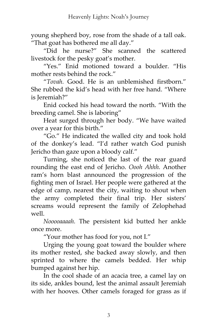young shepherd boy, rose from the shade of a tall oak. 'That goat has bothered me all day.'

'Did he nurse?' She scanned the scattered livestock for the pesky goat's mother.

'Yes.' Enid motioned toward a boulder. 'His mother rests behind the rock"

'*Tovah.* Good. He is an unblemished firstborn.' She rubbed the kid's head with her free hand. 'Where is Jeremiah?'

Enid cocked his head toward the north. 'With the breeding camel. She is laboring'

Heat surged through her body. 'We have waited over a year for this birth.'

'Go.' He indicated the walled city and took hold of the donkey's lead. 'I'd rather watch God punish Jericho than gaze upon a bloody calf.'

Turning, she noticed the last of the rear guard rounding the east end of Jericho. *Oooh Ahhh.* Another ram's horn blast announced the progression of the fighting men of Israel. Her people were gathered at the edge of camp, nearest the city, waiting to shout when the army completed their final trip. Her sisters' screams would represent the family of Zelophehad well.

*Nooooaaaah.* The persistent kid butted her ankle once more.

'Your mother has food for you, not I.'

Urging the young goat toward the boulder where its mother rested, she backed away slowly, and then sprinted to where the camels bedded. Her whip bumped against her hip.

In the cool shade of an acacia tree, a camel lay on its side, ankles bound, lest the animal assault Jeremiah with her hooves. Other camels foraged for grass as if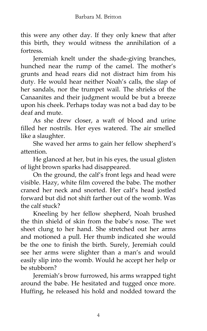this were any other day. If they only knew that after this birth, they would witness the annihilation of a fortress.

Jeremiah knelt under the shade-giving branches, hunched near the rump of the camel. The mother's grunts and head rears did not distract him from his duty. He would hear neither Noah's calls, the slap of her sandals, nor the trumpet wail. The shrieks of the Canaanites and their judgment would be but a breeze upon his cheek. Perhaps today was not a bad day to be deaf and mute.

As she drew closer, a waft of blood and urine filled her nostrils. Her eyes watered. The air smelled like a slaughter.

She waved her arms to gain her fellow shepherd's attention.

He glanced at her, but in his eyes, the usual glisten of light brown sparks had disappeared.

On the ground, the calf's front legs and head were visible. Hazy, white film covered the babe. The mother craned her neck and snorted. Her calf's head jostled forward but did not shift farther out of the womb. Was the calf stuck?

Kneeling by her fellow shepherd, Noah brushed the thin shield of skin from the babe's nose. The wet sheet clung to her hand. She stretched out her arms and motioned a pull. Her thumb indicated she would be the one to finish the birth. Surely, Jeremiah could see her arms were slighter than a man's and would easily slip into the womb. Would he accept her help or be stubborn?

Jeremiah's brow furrowed, his arms wrapped tight around the babe. He hesitated and tugged once more. Huffing, he released his hold and nodded toward the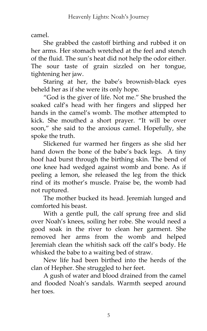camel.

She grabbed the castoff birthing and rubbed it on her arms. Her stomach wretched at the feel and stench of the fluid. The sun's heat did not help the odor either. The sour taste of grain sizzled on her tongue, tightening her jaw.

Staring at her, the babe's brownish-black eyes beheld her as if she were its only hope.

'God is the giver of life. Not me.' She brushed the soaked calf's head with her fingers and slipped her hands in the camel's womb. The mother attempted to kick. She mouthed a short prayer. 'It will be over soon,' she said to the anxious camel. Hopefully, she spoke the truth.

Slickened fur warmed her fingers as she slid her hand down the bone of the babe's back legs. A tiny hoof had burst through the birthing skin. The bend of one knee had wedged against womb and bone. As if peeling a lemon, she released the leg from the thick rind of its mother's muscle. Praise be, the womb had not ruptured.

The mother bucked its head. Jeremiah lunged and comforted his beast.

With a gentle pull, the calf sprung free and slid over Noah's knees, soiling her robe. She would need a good soak in the river to clean her garment. She removed her arms from the womb and helped Jeremiah clean the whitish sack off the calf's body. He whisked the babe to a waiting bed of straw.

New life had been birthed into the herds of the clan of Hepher. She struggled to her feet.

A gush of water and blood drained from the camel and flooded Noah's sandals. Warmth seeped around her toes.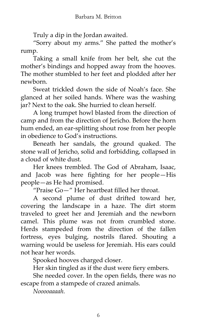Truly a dip in the Jordan awaited.

'Sorry about my arms.' She patted the mother's rump.

Taking a small knife from her belt, she cut the mother's bindings and hopped away from the hooves. The mother stumbled to her feet and plodded after her newborn.

Sweat trickled down the side of Noah's face. She glanced at her soiled hands. Where was the washing jar? Next to the oak. She hurried to clean herself.

A long trumpet howl blasted from the direction of camp and from the direction of Jericho. Before the horn hum ended, an ear-splitting shout rose from her people in obedience to God's instructions.

Beneath her sandals, the ground quaked. The stone wall of Jericho, solid and forbidding, collapsed in a cloud of white dust.

Her knees trembled. The God of Abraham, Isaac, and Jacob was here fighting for her people—His people—as He had promised.

'Praise Go—' Her heartbeat filled her throat.

A second plume of dust drifted toward her, covering the landscape in a haze. The dirt storm traveled to greet her and Jeremiah and the newborn camel. This plume was not from crumbled stone. Herds stampeded from the direction of the fallen fortress, eyes bulging, nostrils flared. Shouting a warning would be useless for Jeremiah. His ears could not hear her words.

Spooked hooves charged closer.

Her skin tingled as if the dust were fiery embers.

She needed cover. In the open fields, there was no escape from a stampede of crazed animals.

*Nooooaaaah.*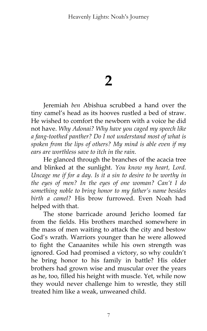### **2**

Jeremiah *ben* Abishua scrubbed a hand over the tiny camel's head as its hooves rustled a bed of straw. He wished to comfort the newborn with a voice he did not have. *Why Adonai? Why have you caged my speech like a fang-toothed panther? Do I not understand most of what is spoken from the lips of others? My mind is able even if my ears are worthless save to itch in the rain.*

He glanced through the branches of the acacia tree and blinked at the sunlight. *You know my heart, Lord. Uncage me if for a day. Is it a sin to desire to be worthy in the eyes of men? In the eyes of one woman? Can't I do something noble to bring honor to my father's name besides birth a camel?* His brow furrowed. Even Noah had helped with that.

The stone barricade around Jericho loomed far from the fields. His brothers marched somewhere in the mass of men waiting to attack the city and bestow God's wrath. Warriors younger than he were allowed to fight the Canaanites while his own strength was ignored. God had promised a victory, so why couldn't he bring honor to his family in battle? His older brothers had grown wise and muscular over the years as he, too, filled his height with muscle. Yet, while now they would never challenge him to wrestle, they still treated him like a weak, unweaned child.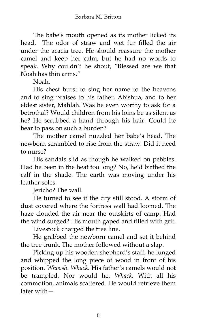The babe's mouth opened as its mother licked its head. The odor of straw and wet fur filled the air under the acacia tree. He should reassure the mother camel and keep her calm, but he had no words to speak. Why couldn't he shout, 'Blessed are we that Noah has thin arms.'

Noah.

His chest burst to sing her name to the heavens and to sing praises to his father, Abishua, and to her eldest sister, Mahlah. Was he even worthy to ask for a betrothal? Would children from his loins be as silent as he? He scrubbed a hand through his hair. Could he bear to pass on such a burden?

The mother camel nuzzled her babe's head. The newborn scrambled to rise from the straw. Did it need to nurse?

His sandals slid as though he walked on pebbles. Had he been in the heat too long? No, he'd birthed the calf in the shade. The earth was moving under his leather soles.

Jericho? The wall.

He turned to see if the city still stood. A storm of dust covered where the fortress wall had loomed. The haze clouded the air near the outskirts of camp. Had the wind surged? His mouth gaped and filled with grit.

Livestock charged the tree line.

He grabbed the newborn camel and set it behind the tree trunk. The mother followed without a slap.

Picking up his wooden shepherd's staff, he lunged and whipped the long piece of wood in front of his position. *Whoosh*. *Whack*. His father's camels would not be trampled. Nor would he. *Whack*. With all his commotion, animals scattered. He would retrieve them later with—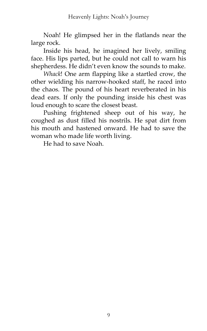Noah! He glimpsed her in the flatlands near the large rock.

Inside his head, he imagined her lively, smiling face. His lips parted, but he could not call to warn his shepherdess. He didn't even know the sounds to make.

*Whack*! One arm flapping like a startled crow, the other wielding his narrow-hooked staff, he raced into the chaos. The pound of his heart reverberated in his dead ears. If only the pounding inside his chest was loud enough to scare the closest beast.

Pushing frightened sheep out of his way, he coughed as dust filled his nostrils. He spat dirt from his mouth and hastened onward. He had to save the woman who made life worth living.

He had to save Noah.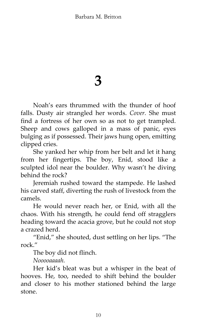### **3**

Noah's ears thrummed with the thunder of hoof falls. Dusty air strangled her words. *Cover.* She must find a fortress of her own so as not to get trampled. Sheep and cows galloped in a mass of panic, eyes bulging as if possessed. Their jaws hung open, emitting clipped cries.

She yanked her whip from her belt and let it hang from her fingertips. The boy, Enid, stood like a sculpted idol near the boulder. Why wasn't he diving behind the rock?

Jeremiah rushed toward the stampede. He lashed his carved staff, diverting the rush of livestock from the camels.

He would never reach her, or Enid, with all the chaos. With his strength, he could fend off stragglers heading toward the acacia grove, but he could not stop a crazed herd.

'Enid,' she shouted, dust settling on her lips. 'The rock.'

The boy did not flinch.

*Nooooaaaah.* 

Her kid's bleat was but a whisper in the beat of hooves. He, too, needed to shift behind the boulder and closer to his mother stationed behind the large stone.